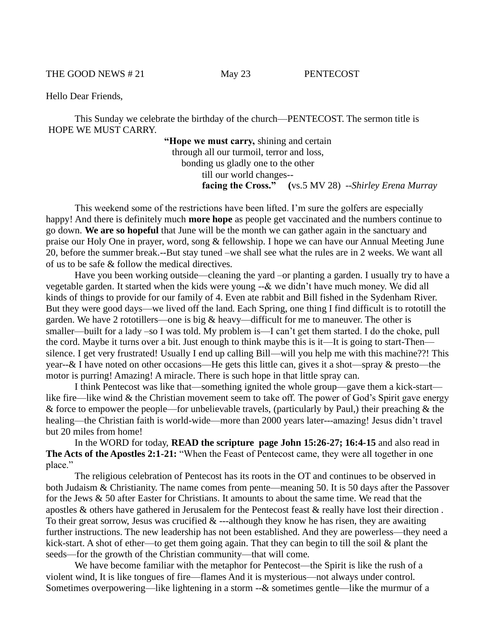THE GOOD NEWS #21 May 23 PENTECOST

Hello Dear Friends,

This Sunday we celebrate the birthday of the church—PENTECOST. The sermon title is HOPE WE MUST CARRY.

> **"Hope we must carry,** shining and certain through all our turmoil, terror and loss, bonding us gladly one to the other till our world changes- **facing the Cross." (**vs.5 MV 28) --*Shirley Erena Murray*

This weekend some of the restrictions have been lifted. I'm sure the golfers are especially happy! And there is definitely much **more hope** as people get vaccinated and the numbers continue to go down. **We are so hopeful** that June will be the month we can gather again in the sanctuary and praise our Holy One in prayer, word, song & fellowship. I hope we can have our Annual Meeting June 20, before the summer break.--But stay tuned –we shall see what the rules are in 2 weeks. We want all of us to be safe & follow the medical directives.

Have you been working outside—cleaning the yard –or planting a garden. I usually try to have a vegetable garden. It started when the kids were young --& we didn't have much money. We did all kinds of things to provide for our family of 4. Even ate rabbit and Bill fished in the Sydenham River. But they were good days—we lived off the land. Each Spring, one thing I find difficult is to rototill the garden. We have 2 rototillers—one is big  $&$  heavy—difficult for me to maneuver. The other is smaller—built for a lady –so I was told. My problem is—I can't get them started. I do the choke, pull the cord. Maybe it turns over a bit. Just enough to think maybe this is it—It is going to start-Then silence. I get very frustrated! Usually I end up calling Bill—will you help me with this machine??! This year--& I have noted on other occasions—He gets this little can, gives it a shot—spray & presto—the motor is purring! Amazing! A miracle. There is such hope in that little spray can.

I think Pentecost was like that—something ignited the whole group—gave them a kick-start like fire—like wind & the Christian movement seem to take off. The power of God's Spirit gave energy  $\&$  force to empower the people—for unbelievable travels, (particularly by Paul,) their preaching  $\&$  the healing—the Christian faith is world-wide—more than 2000 years later---amazing! Jesus didn't travel but 20 miles from home!

In the WORD for today, **READ the scripture page John 15:26-27; 16:4-15** and also read in **The Acts of the Apostles 2:1-21:** "When the Feast of Pentecost came, they were all together in one place."

The religious celebration of Pentecost has its roots in the OT and continues to be observed in both Judaism & Christianity. The name comes from pente—meaning 50. It is 50 days after the Passover for the Jews & 50 after Easter for Christians. It amounts to about the same time. We read that the apostles & others have gathered in Jerusalem for the Pentecost feast & really have lost their direction . To their great sorrow, Jesus was crucified  $&$  ---although they know he has risen, they are awaiting further instructions. The new leadership has not been established. And they are powerless—they need a kick-start. A shot of ether—to get them going again. That they can begin to till the soil & plant the seeds—for the growth of the Christian community—that will come.

We have become familiar with the metaphor for Pentecost—the Spirit is like the rush of a violent wind, It is like tongues of fire—flames And it is mysterious—not always under control. Sometimes overpowering—like lightening in a storm --& sometimes gentle—like the murmur of a